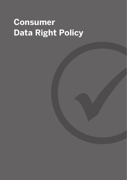# **Consumer Data Right Policy**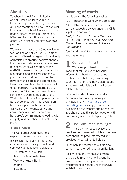### **About us**

Teachers Mutual Bank Limited is one of Australia's largest mutual banks and operates through the five divisions mentioned below. We conduct business throughout Australia, with our headquarters located in Homebush, NSW, and 8 other offices across the country. We directly employ over 600 people.

We are a member of the Global Alliance for Banking on Values (GABV), a global network of banking organisations deeply committed to creating positive change in society as a whole. As a values-based business, we are a signatory to the GABV Kathmandu Pledge. Using ethical, sustainable and socially responsible practices is something our members have come to expect and appreciate. Being responsible and ethical are part of our core promise to members and society. In 2020, for the seventh year running, We were named one of the World's Most Ethical Companies by the Ethisphere Institute. This recognition honours superior achievements in transparency, integrity, ethics and compliance and underscores an honouree's commitment to leading with integrity and prioritising ethical business practices.

### **This Policy**

This Consumer Data Right Policy explains how we manage CDR data.

It is relevant for our members and customers, who have products and services via the following divisions:

- Firefighters Mutual Bank
- Health Professionals Bank
- Teachers Mutual Bank
- UniBank
- Hiver Bank

### **Meaning of words**

In this policy, the following applies:

"CDR" means the Consumer Data Right;

"CDR data" means data we hold that can be requested by you under the CDR legislation and rules;

"we", "us" and "our" means Teachers Mutual Bank Limited ABN 30 087 650 459 AFSL/Australian Credit Licence 238981; and

"you" and "your" includes our members and customers.

1 Our commitment<br>We value your trust in us. It is important for us to keep personal information about you secure and confidential. That's why protecting your information and being clear about what we do with it is a vital part of our relationship with you.

Information about how we handle personal information generally is available in our [Privacy and Credit](https://www.tmbl.com.au/privacy/privacy-and-credit-reporting-policy)  [Reporting Policy,](https://www.tmbl.com.au/privacy/privacy-and-credit-reporting-policy) a copy of which is available on our website and on request. You should read this policy together with our Privacy and Credit Reporting Policy.

2 The Consumer Data Right<br>The CDR is imposed by law and provides consumers with rights to access data about the products offered and provided by certain data holders.

In the banking sector, the CDR is also sometimes referred to as Open Banking.

As a data holder, we are required to share certain data we hold about the products we currently offer and products which you hold with us under the CDR legislation and rules.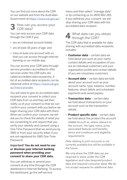You can find out more about the CDR on [our website](https://www.tmbank.com.au/open-banking) and from the Australian Government at<https://www.cdr.gov.au/>

### **3** How can you access your  $\overline{\mathbf{5}}$  CDR data?

You can only access your CDR data through the CDR if you:

- are an individual account holder:
- are at least 18 years of age; and
- have at least one account with us that you can access through internet banking or our mobile app.

You can access your CDR data through service providers accredited to offer services under the CDR (who are called accredited data recipients). A list of accredited data recipients can be obtained online at [https://www.cdr.gov.](https://www.cdr.gov.au/find-a-provider) [au/find-a-provider.](https://www.cdr.gov.au/find-a-provider)

You will need to give an accredited data recipient your consent to collect your CDR data from us and they will then notify us of your consent so that we can confirm your consent with you before we begin sharing your CDR data with them. When we confirm your consent, we will ask you to check the details of what you are consenting to and require that you verify your identity and consent using a One-Time Password that we send you by SMS or from your security token if you are not registered for SMS One-Time Password.

#### *Important!* **You do not need to use or disclose your internet banking password when providing your consent to share your CDR data.**

You can withdraw or amend your consent at any time through the CDR dashboard in Internet Banking. To access the dashboard, go the self-service

menu and then select "manage data" or by contacting us on 1800 862 265. If you withdraw your consent, we will stop sharing your CDR data with the accredited data recipient.

## **4** What data can you obtain<br>through the CDR?

The CDR data that is available for data sharing with accredited data recipients includes:

- **Customer data** certain data we hold about you such as your name, contact details and occupation (if you are an individual customer) and your organisation profile and contact details (if you are a business customer).
- **Account data** certain data we hold about your account such as your account name, type, balance, number, features, direct debits and scheduled payments and saved payees.
- **Transaction data** certain data we hold about transactions on your account such as the transaction details.
- **Product specific data** certain data we hold about the product the account relates to such as, where relevant to the account, the type, name, price, associated features and benefits, terms and conditions and eligibility requirements.

Data relating to joint accounts is not currently available but will be available in the future.

We only share the CDR data we are required to share under the CDR legislation and rules (required product data and required consumer data). We do not accept requests for additional data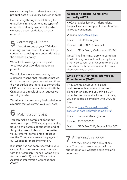we are not required to share (voluntary product data or voluntary consumer data).

Data sharing through the CDR may be unavailable in relation to some types of accounts or during any period in which we have placed restrictions on your account.

**5** Correcting CDR data<br> **5** If you think any of your CDR data is wrong, you can ask us to correct it by contacting us using our contact details at the end of this policy.

We will acknowledge your request to correct your CDR data as soon as possible.

We will give you a written notice, by electronic means, that indicates what we did in response to your request and if we did not think it appropriate to correct the CDR data or include a statement with the CDR data as a result of your request we will tell you why.

We will not charge you any fee in relation to a request that we correct your CDR data.

## **6** Making a complaint

You can make a complaint about our treatment of your CDR data by contacting us using the details set out at the end of this policy. We will deal with the matter via our internal complaints processes – see the [Complaints resolution](https://www.tmbank.com.au/complaints) page on our website for more information.

If an issue has not been resolved to your satisfaction, you can lodge a complaint with the Australian Financial Complaints Authority (AFCA) or the Office of the Australian Information Commissioner (OAIC):

#### Australian Financial Complaints Authority (AFCA)

AFCA provides fair and independent financial services complaint resolution that is free to consumers.

Website: [www.afca.org.au](http://www.afca.org.au)

Email: info@afca.org.au

Phone: 1800 931 678 (free call)

Mail: GPO Box 3, Melbourne VIC 3001

Note: Time limits may apply to complain to AFCA, so you should act promptly or otherwise consult their website to find out if or when the time limit relevant to your circumstances expires.

#### Office of the Australian Information Commissioner (OAIC)

If you are an individual or a small businesses with an annual turnover of \$3 million or less, and you think a CDR provider has mishandled your CDR data, you can lodge a complaint with OAIC for free.

Website:[https://www.oaic.gov.au/](https://www.oaic.gov.au/consumer-data-right/cdr-complaints/) [consumer-data-right/cdr-complaints/](https://www.oaic.gov.au/consumer-data-right/cdr-complaints/) 

| Email: enquiries@oaic.gov.au        |
|-------------------------------------|
| Phone: 1300 363 992                 |
| Mail: GPO Box 5218, Sydney NSW 2001 |

**7** Amending this policy We may amend this policy at any time. The most current version will be published on our website and is available on request.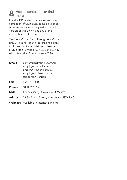## **8** How to contact us or find out more

For all CDR related queries, requests for correction of CDR data, complaints or any other requests, or to request a printed version of this policy, use any of the methods set out below:

Teachers Mutual Bank, Firefighters Mutual Bank, UniBank, Health Professionals Bank and Hiver Bank are divisions of Teachers Mutual Bank Limited ACN 30 087 650 489 AFSL/Australian Credit Licence 238981

- Email: contactus@fmbank.com.au enquiry@hpbank.com.au enquiry@tmbank.com.au enquiry@unibank.com.au support@hiver.bank
- **Fax:** (02) 9704 8205
- **Phone:** 1800 862 265
- Mail: PO Box 7501, Silverwater NSW 2128
- Address: 28-38 Powell Street, Homebush NSW 2140
- Webchat: Available in Internet Banking